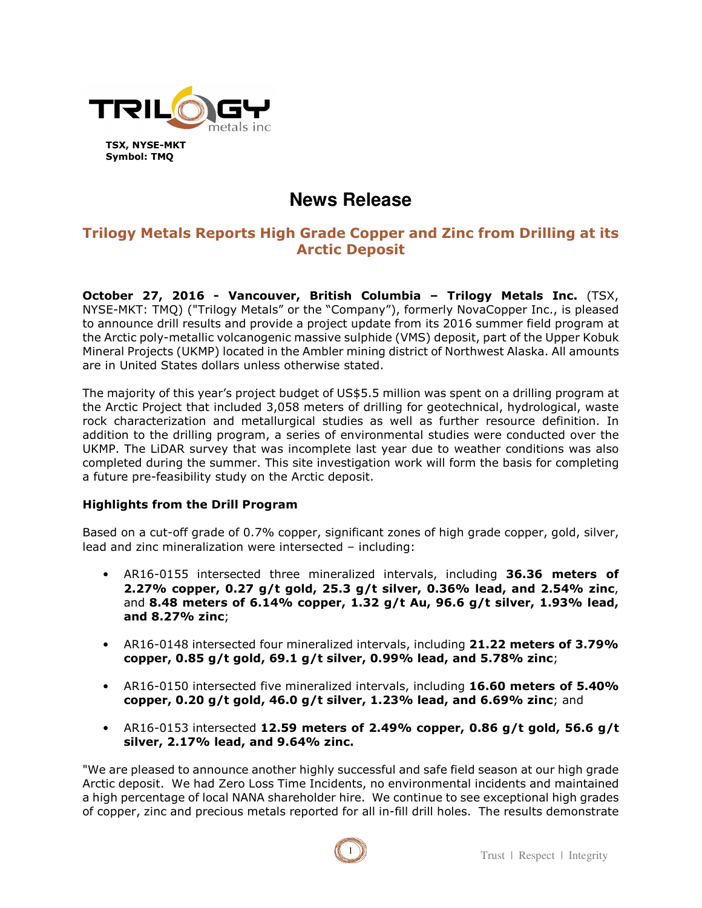

# **News Release**

## **Trilogy Metals Reports High Grade Copper and Zinc from Drilling at its Arctic Deposit**

**October 27, 2016 - Vancouver, British Columbia – Trilogy Metals Inc.** (TSX, NYSE-MKT: TMQ) ("Trilogy Metals" or the "Company"), formerly NovaCopper Inc., is pleased to announce drill results and provide a project update from its 2016 summer field program at the Arctic poly-metallic volcanogenic massive sulphide (VMS) deposit, part of the Upper Kobuk Mineral Projects (UKMP) located in the Ambler mining district of Northwest Alaska. All amounts are in United States dollars unless otherwise stated.

The majority of this year's project budget of US\$5.5 million was spent on a drilling program at the Arctic Project that included 3,058 meters of drilling for geotechnical, hydrological, waste rock characterization and metallurgical studies as well as further resource definition. In addition to the drilling program, a series of environmental studies were conducted over the UKMP. The LiDAR survey that was incomplete last year due to weather conditions was also completed during the summer. This site investigation work will form the basis for completing a future pre-feasibility study on the Arctic deposit.

## **Highlights from the Drill Program**

Based on a cut-off grade of 0.7% copper, significant zones of high grade copper, gold, silver, lead and zinc mineralization were intersected – including:

- AR16-0155 intersected three mineralized intervals, including **36.36 meters of 2.27% copper, 0.27 g/t gold, 25.3 g/t silver, 0.36% lead, and 2.54% zinc**, and **8.48 meters of 6.14% copper, 1.32 g/t Au, 96.6 g/t silver, 1.93% lead, and 8.27% zinc**;
- AR16-0148 intersected four mineralized intervals, including **21.22 meters of 3.79% copper, 0.85 g/t gold, 69.1 g/t silver, 0.99% lead, and 5.78% zinc**;
- AR16-0150 intersected five mineralized intervals, including **16.60 meters of 5.40% copper, 0.20 g/t gold, 46.0 g/t silver, 1.23% lead, and 6.69% zinc**; and
- AR16-0153 intersected **12.59 meters of 2.49% copper, 0.86 g/t gold, 56.6 g/t silver, 2.17% lead, and 9.64% zinc.**

"We are pleased to announce another highly successful and safe field season at our high grade Arctic deposit. We had Zero Loss Time Incidents, no environmental incidents and maintained a high percentage of local NANA shareholder hire. We continue to see exceptional high grades of copper, zinc and precious metals reported for all in-fill drill holes. The results demonstrate

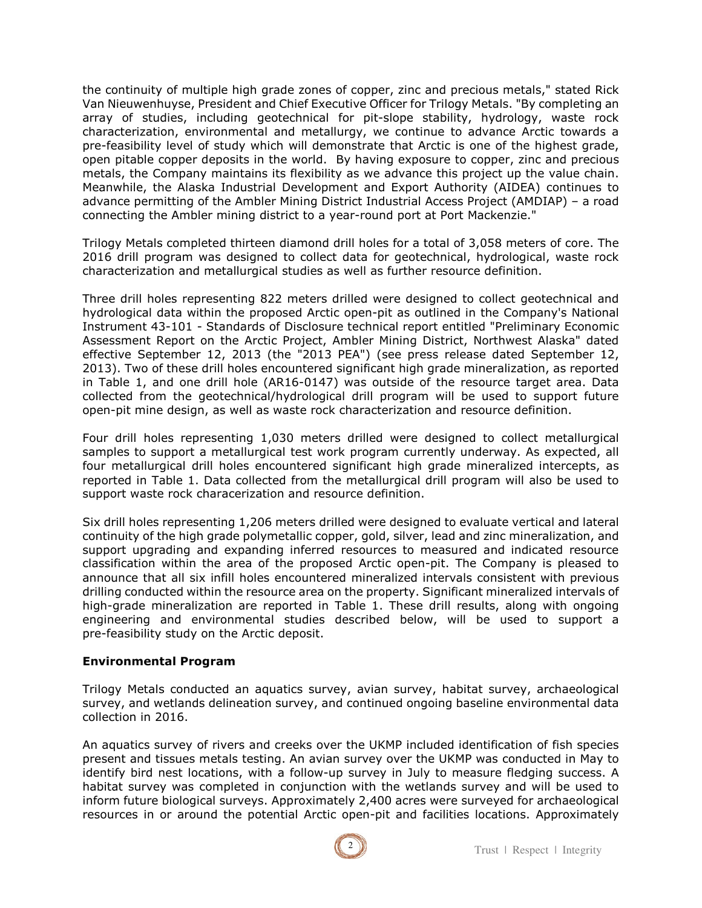the continuity of multiple high grade zones of copper, zinc and precious metals," stated Rick Van Nieuwenhuyse, President and Chief Executive Officer for Trilogy Metals. "By completing an array of studies, including geotechnical for pit-slope stability, hydrology, waste rock characterization, environmental and metallurgy, we continue to advance Arctic towards a pre-feasibility level of study which will demonstrate that Arctic is one of the highest grade, open pitable copper deposits in the world. By having exposure to copper, zinc and precious metals, the Company maintains its flexibility as we advance this project up the value chain. Meanwhile, the Alaska Industrial Development and Export Authority (AIDEA) continues to advance permitting of the Ambler Mining District Industrial Access Project (AMDIAP) – a road connecting the Ambler mining district to a year-round port at Port Mackenzie."

Trilogy Metals completed thirteen diamond drill holes for a total of 3,058 meters of core. The 2016 drill program was designed to collect data for geotechnical, hydrological, waste rock characterization and metallurgical studies as well as further resource definition.

Three drill holes representing 822 meters drilled were designed to collect geotechnical and hydrological data within the proposed Arctic open-pit as outlined in the Company's National Instrument 43-101 - Standards of Disclosure technical report entitled "Preliminary Economic Assessment Report on the Arctic Project, Ambler Mining District, Northwest Alaska" dated effective September 12, 2013 (the "2013 PEA") (see press release dated September 12, 2013). Two of these drill holes encountered significant high grade mineralization, as reported in Table 1, and one drill hole (AR16-0147) was outside of the resource target area. Data collected from the geotechnical/hydrological drill program will be used to support future open-pit mine design, as well as waste rock characterization and resource definition.

Four drill holes representing 1,030 meters drilled were designed to collect metallurgical samples to support a metallurgical test work program currently underway. As expected, all four metallurgical drill holes encountered significant high grade mineralized intercepts, as reported in Table 1. Data collected from the metallurgical drill program will also be used to support waste rock characerization and resource definition.

Six drill holes representing 1,206 meters drilled were designed to evaluate vertical and lateral continuity of the high grade polymetallic copper, gold, silver, lead and zinc mineralization, and support upgrading and expanding inferred resources to measured and indicated resource classification within the area of the proposed Arctic open-pit. The Company is pleased to announce that all six infill holes encountered mineralized intervals consistent with previous drilling conducted within the resource area on the property. Significant mineralized intervals of high-grade mineralization are reported in Table 1. These drill results, along with ongoing engineering and environmental studies described below, will be used to support a pre-feasibility study on the Arctic deposit.

#### **Environmental Program**

Trilogy Metals conducted an aquatics survey, avian survey, habitat survey, archaeological survey, and wetlands delineation survey, and continued ongoing baseline environmental data collection in 2016.

An aquatics survey of rivers and creeks over the UKMP included identification of fish species present and tissues metals testing. An avian survey over the UKMP was conducted in May to identify bird nest locations, with a follow-up survey in July to measure fledging success. A habitat survey was completed in conjunction with the wetlands survey and will be used to inform future biological surveys. Approximately 2,400 acres were surveyed for archaeological resources in or around the potential Arctic open-pit and facilities locations. Approximately

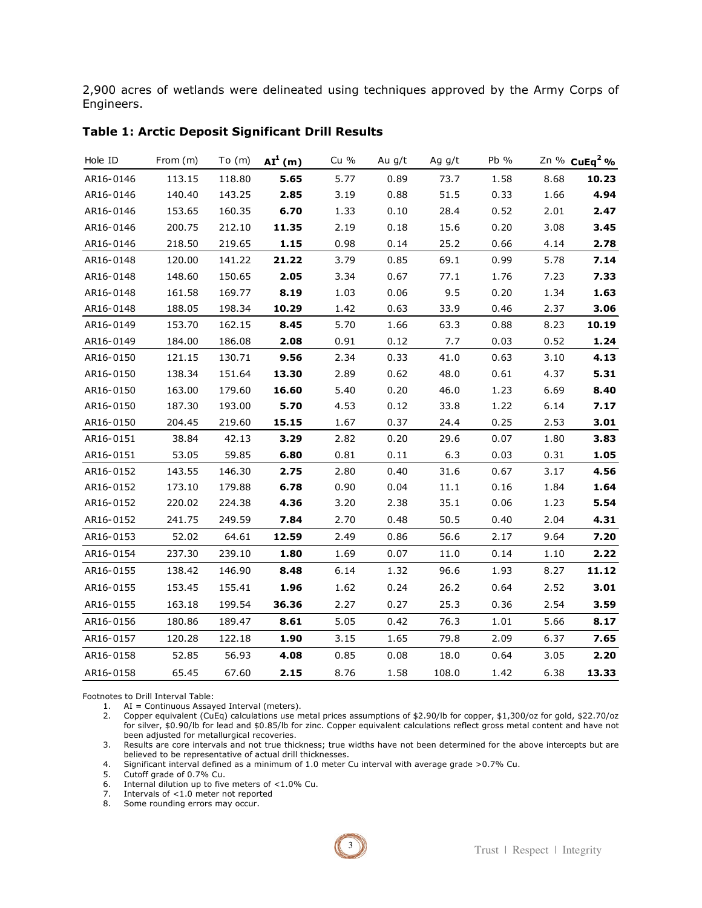2,900 acres of wetlands were delineated using techniques approved by the Army Corps of Engineers.

| Hole ID   | From (m) | To (m) | $AI1$ (m) | Cu % | Au g/t | Ag g/t | Pb % |      | Zn % CuEq <sup>2</sup> % |
|-----------|----------|--------|-----------|------|--------|--------|------|------|--------------------------|
| AR16-0146 | 113.15   | 118.80 | 5.65      | 5.77 | 0.89   | 73.7   | 1.58 | 8.68 | 10.23                    |
| AR16-0146 | 140.40   | 143.25 | 2.85      | 3.19 | 0.88   | 51.5   | 0.33 | 1.66 | 4.94                     |
| AR16-0146 | 153.65   | 160.35 | 6.70      | 1.33 | 0.10   | 28.4   | 0.52 | 2.01 | 2.47                     |
| AR16-0146 | 200.75   | 212.10 | 11.35     | 2.19 | 0.18   | 15.6   | 0.20 | 3.08 | 3.45                     |
| AR16-0146 | 218.50   | 219.65 | 1.15      | 0.98 | 0.14   | 25.2   | 0.66 | 4.14 | 2.78                     |
| AR16-0148 | 120.00   | 141.22 | 21.22     | 3.79 | 0.85   | 69.1   | 0.99 | 5.78 | 7.14                     |
| AR16-0148 | 148.60   | 150.65 | 2.05      | 3.34 | 0.67   | 77.1   | 1.76 | 7.23 | 7.33                     |
| AR16-0148 | 161.58   | 169.77 | 8.19      | 1.03 | 0.06   | 9.5    | 0.20 | 1.34 | 1.63                     |
| AR16-0148 | 188.05   | 198.34 | 10.29     | 1.42 | 0.63   | 33.9   | 0.46 | 2.37 | 3.06                     |
| AR16-0149 | 153.70   | 162.15 | 8.45      | 5.70 | 1.66   | 63.3   | 0.88 | 8.23 | 10.19                    |
| AR16-0149 | 184.00   | 186.08 | 2.08      | 0.91 | 0.12   | 7.7    | 0.03 | 0.52 | 1.24                     |
| AR16-0150 | 121.15   | 130.71 | 9.56      | 2.34 | 0.33   | 41.0   | 0.63 | 3.10 | 4.13                     |
| AR16-0150 | 138.34   | 151.64 | 13.30     | 2.89 | 0.62   | 48.0   | 0.61 | 4.37 | 5.31                     |
| AR16-0150 | 163.00   | 179.60 | 16.60     | 5.40 | 0.20   | 46.0   | 1.23 | 6.69 | 8.40                     |
| AR16-0150 | 187.30   | 193.00 | 5.70      | 4.53 | 0.12   | 33.8   | 1.22 | 6.14 | 7.17                     |
| AR16-0150 | 204.45   | 219.60 | 15.15     | 1.67 | 0.37   | 24.4   | 0.25 | 2.53 | 3.01                     |
| AR16-0151 | 38.84    | 42.13  | 3.29      | 2.82 | 0.20   | 29.6   | 0.07 | 1.80 | 3.83                     |
| AR16-0151 | 53.05    | 59.85  | 6.80      | 0.81 | 0.11   | 6.3    | 0.03 | 0.31 | 1.05                     |
| AR16-0152 | 143.55   | 146.30 | 2.75      | 2.80 | 0.40   | 31.6   | 0.67 | 3.17 | 4.56                     |
| AR16-0152 | 173.10   | 179.88 | 6.78      | 0.90 | 0.04   | 11.1   | 0.16 | 1.84 | 1.64                     |
| AR16-0152 | 220.02   | 224.38 | 4.36      | 3.20 | 2.38   | 35.1   | 0.06 | 1.23 | 5.54                     |
| AR16-0152 | 241.75   | 249.59 | 7.84      | 2.70 | 0.48   | 50.5   | 0.40 | 2.04 | 4.31                     |
| AR16-0153 | 52.02    | 64.61  | 12.59     | 2.49 | 0.86   | 56.6   | 2.17 | 9.64 | 7.20                     |
| AR16-0154 | 237.30   | 239.10 | 1.80      | 1.69 | 0.07   | 11.0   | 0.14 | 1.10 | 2.22                     |
| AR16-0155 | 138.42   | 146.90 | 8.48      | 6.14 | 1.32   | 96.6   | 1.93 | 8.27 | 11.12                    |
| AR16-0155 | 153.45   | 155.41 | 1.96      | 1.62 | 0.24   | 26.2   | 0.64 | 2.52 | 3.01                     |
| AR16-0155 | 163.18   | 199.54 | 36.36     | 2.27 | 0.27   | 25.3   | 0.36 | 2.54 | 3.59                     |
| AR16-0156 | 180.86   | 189.47 | 8.61      | 5.05 | 0.42   | 76.3   | 1.01 | 5.66 | 8.17                     |
| AR16-0157 | 120.28   | 122.18 | 1.90      | 3.15 | 1.65   | 79.8   | 2.09 | 6.37 | 7.65                     |
| AR16-0158 | 52.85    | 56.93  | 4.08      | 0.85 | 0.08   | 18.0   | 0.64 | 3.05 | 2.20                     |
| AR16-0158 | 65.45    | 67.60  | 2.15      | 8.76 | 1.58   | 108.0  | 1.42 | 6.38 | 13.33                    |

#### **Table 1: Arctic Deposit Significant Drill Results**

Footnotes to Drill Interval Table:

1. AI = Continuous Assayed Interval (meters).

2. Copper equivalent (CuEq) calculations use metal prices assumptions of \$2.90/lb for copper, \$1,300/oz for gold, \$22.70/oz for silver, \$0.90/lb for lead and \$0.85/lb for zinc. Copper equivalent calculations reflect gross metal content and have not been adjusted for metallurgical recoveries.

3. Results are core intervals and not true thickness; true widths have not been determined for the above intercepts but are believed to be representative of actual drill thicknesses.

4. Significant interval defined as a minimum of 1.0 meter Cu interval with average grade >0.7% Cu.

5. Cutoff grade of 0.7% Cu.

6. Internal dilution up to five meters of <1.0% Cu.

7. Intervals of <1.0 meter not reported

8. Some rounding errors may occur.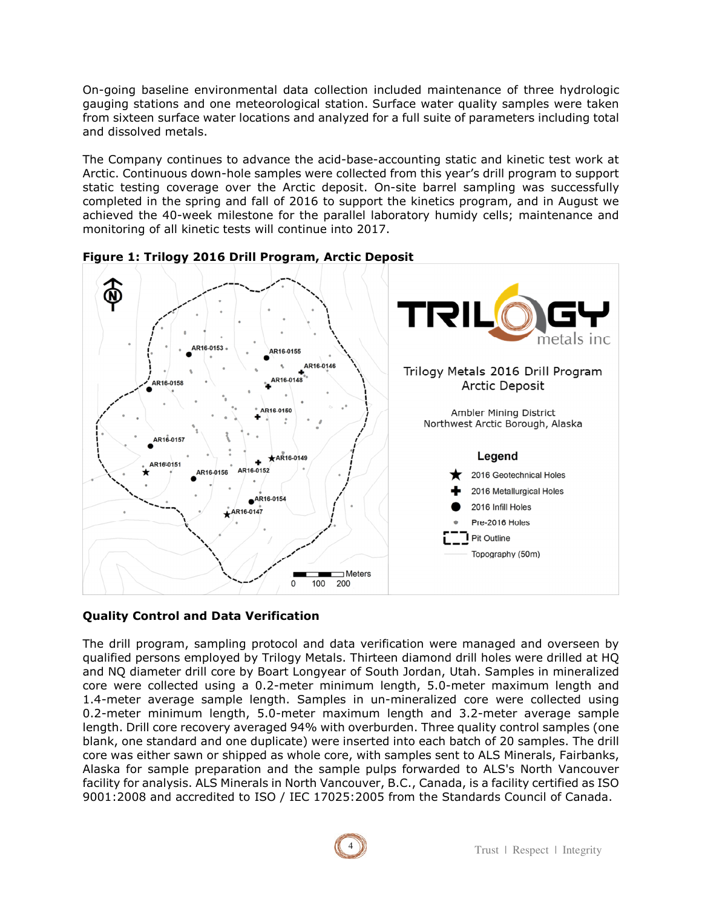On-going baseline environmental data collection included maintenance of three hydrologic gauging stations and one meteorological station. Surface water quality samples were taken from sixteen surface water locations and analyzed for a full suite of parameters including total and dissolved metals.

The Company continues to advance the acid-base-accounting static and kinetic test work at Arctic. Continuous down-hole samples were collected from this year's drill program to support static testing coverage over the Arctic deposit. On-site barrel sampling was successfully completed in the spring and fall of 2016 to support the kinetics program, and in August we achieved the 40-week milestone for the parallel laboratory humidy cells; maintenance and monitoring of all kinetic tests will continue into 2017.



**Figure 1: Trilogy 2016 Drill Program, Arctic Deposit** 

## **Quality Control and Data Verification**

The drill program, sampling protocol and data verification were managed and overseen by qualified persons employed by Trilogy Metals. Thirteen diamond drill holes were drilled at HQ and NQ diameter drill core by Boart Longyear of South Jordan, Utah. Samples in mineralized core were collected using a 0.2-meter minimum length, 5.0-meter maximum length and 1.4-meter average sample length. Samples in un-mineralized core were collected using 0.2-meter minimum length, 5.0-meter maximum length and 3.2-meter average sample length. Drill core recovery averaged 94% with overburden. Three quality control samples (one blank, one standard and one duplicate) were inserted into each batch of 20 samples. The drill core was either sawn or shipped as whole core, with samples sent to ALS Minerals, Fairbanks, Alaska for sample preparation and the sample pulps forwarded to ALS's North Vancouver facility for analysis. ALS Minerals in North Vancouver, B.C., Canada, is a facility certified as ISO 9001:2008 and accredited to ISO / IEC 17025:2005 from the Standards Council of Canada.

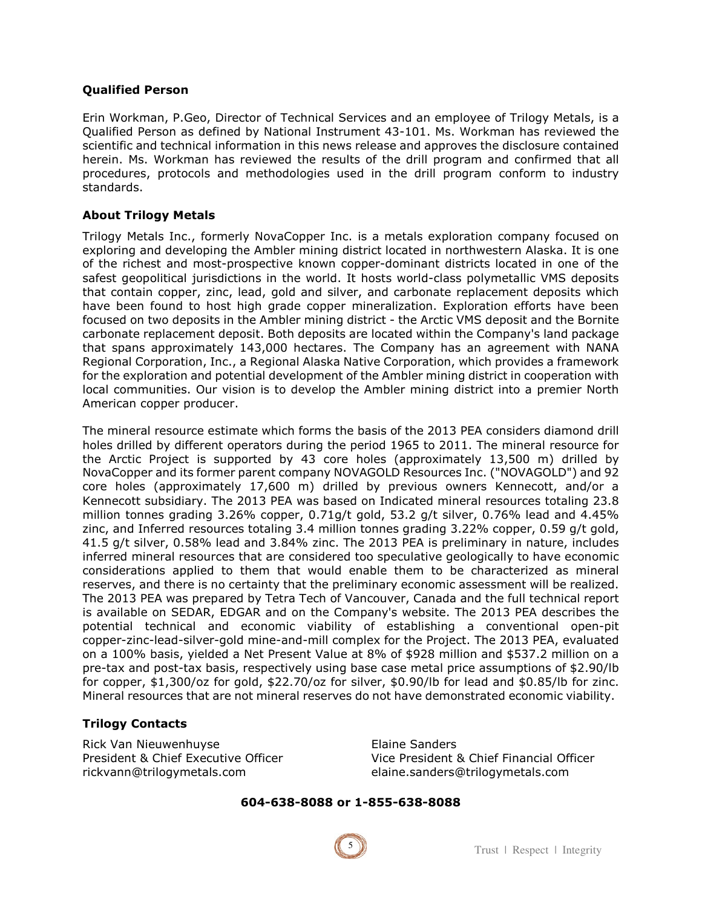#### **Qualified Person**

Erin Workman, P.Geo, Director of Technical Services and an employee of Trilogy Metals, is a Qualified Person as defined by National Instrument 43-101. Ms. Workman has reviewed the scientific and technical information in this news release and approves the disclosure contained herein. Ms. Workman has reviewed the results of the drill program and confirmed that all procedures, protocols and methodologies used in the drill program conform to industry standards.

#### **About Trilogy Metals**

Trilogy Metals Inc., formerly NovaCopper Inc. is a metals exploration company focused on exploring and developing the Ambler mining district located in northwestern Alaska. It is one of the richest and most-prospective known copper-dominant districts located in one of the safest geopolitical jurisdictions in the world. It hosts world-class polymetallic VMS deposits that contain copper, zinc, lead, gold and silver, and carbonate replacement deposits which have been found to host high grade copper mineralization. Exploration efforts have been focused on two deposits in the Ambler mining district - the Arctic VMS deposit and the Bornite carbonate replacement deposit. Both deposits are located within the Company's land package that spans approximately 143,000 hectares. The Company has an agreement with NANA Regional Corporation, Inc., a Regional Alaska Native Corporation, which provides a framework for the exploration and potential development of the Ambler mining district in cooperation with local communities. Our vision is to develop the Ambler mining district into a premier North American copper producer.

The mineral resource estimate which forms the basis of the 2013 PEA considers diamond drill holes drilled by different operators during the period 1965 to 2011. The mineral resource for the Arctic Project is supported by 43 core holes (approximately 13,500 m) drilled by NovaCopper and its former parent company NOVAGOLD Resources Inc. ("NOVAGOLD") and 92 core holes (approximately 17,600 m) drilled by previous owners Kennecott, and/or a Kennecott subsidiary. The 2013 PEA was based on Indicated mineral resources totaling 23.8 million tonnes grading 3.26% copper, 0.71g/t gold, 53.2 g/t silver, 0.76% lead and 4.45% zinc, and Inferred resources totaling 3.4 million tonnes grading 3.22% copper, 0.59 g/t gold, 41.5 g/t silver, 0.58% lead and 3.84% zinc. The 2013 PEA is preliminary in nature, includes inferred mineral resources that are considered too speculative geologically to have economic considerations applied to them that would enable them to be characterized as mineral reserves, and there is no certainty that the preliminary economic assessment will be realized. The 2013 PEA was prepared by Tetra Tech of Vancouver, Canada and the full technical report is available on SEDAR, EDGAR and on the Company's website. The 2013 PEA describes the potential technical and economic viability of establishing a conventional open-pit copper-zinc-lead-silver-gold mine-and-mill complex for the Project. The 2013 PEA, evaluated on a 100% basis, yielded a Net Present Value at 8% of \$928 million and \$537.2 million on a pre-tax and post-tax basis, respectively using base case metal price assumptions of \$2.90/lb for copper, \$1,300/oz for gold, \$22.70/oz for silver, \$0.90/lb for lead and \$0.85/lb for zinc. Mineral resources that are not mineral reserves do not have demonstrated economic viability.

#### **Trilogy Contacts**

Rick Van Nieuwenhuyse **Elaine Sanders** rickvann@trilogymetals.com elaine.sanders@trilogymetals.com

President & Chief Executive Officer Vice President & Chief Financial Officer

#### **604-638-8088 or 1-855-638-8088**